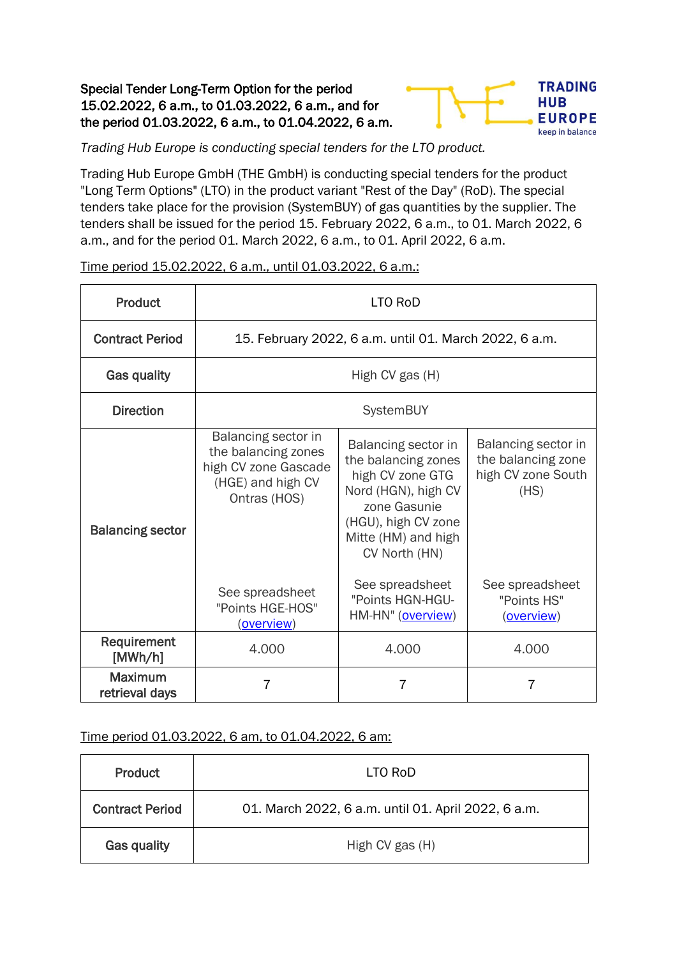## Special Tender Long-Term Option for the period 15.02.2022, 6 a.m., to 01.03.2022, 6 a.m., and for the period 01.03.2022, 6 a.m., to 01.04.2022, 6 a.m.



*Trading Hub Europe is conducting special tenders for the LTO product.*

Trading Hub Europe GmbH (THE GmbH) is conducting special tenders for the product "Long Term Options" (LTO) in the product variant "Rest of the Day" (RoD). The special tenders take place for the provision (SystemBUY) of gas quantities by the supplier. The tenders shall be issued for the period 15. February 2022, 6 a.m., to 01. March 2022, 6 a.m., and for the period 01. March 2022, 6 a.m., to 01. April 2022, 6 a.m.

| Product                          | LTO RoD                                                                                                 |                                                                                                                                                                      |                                                                         |  |
|----------------------------------|---------------------------------------------------------------------------------------------------------|----------------------------------------------------------------------------------------------------------------------------------------------------------------------|-------------------------------------------------------------------------|--|
| <b>Contract Period</b>           | 15. February 2022, 6 a.m. until 01. March 2022, 6 a.m.                                                  |                                                                                                                                                                      |                                                                         |  |
| Gas quality                      | High CV gas (H)                                                                                         |                                                                                                                                                                      |                                                                         |  |
| <b>Direction</b>                 | SystemBUY                                                                                               |                                                                                                                                                                      |                                                                         |  |
| <b>Balancing sector</b>          | Balancing sector in<br>the balancing zones<br>high CV zone Gascade<br>(HGE) and high CV<br>Ontras (HOS) | Balancing sector in<br>the balancing zones<br>high CV zone GTG<br>Nord (HGN), high CV<br>zone Gasunie<br>(HGU), high CV zone<br>Mitte (HM) and high<br>CV North (HN) | Balancing sector in<br>the balancing zone<br>high CV zone South<br>(HS) |  |
|                                  | See spreadsheet<br>"Points HGE-HOS"<br>(overview)                                                       | See spreadsheet<br>"Points HGN-HGU-<br>HM-HN" (overview)                                                                                                             | See spreadsheet<br>"Points HS"<br>(overview)                            |  |
| Requirement<br>[MWh/h]           | 4.000                                                                                                   | 4.000                                                                                                                                                                | 4.000                                                                   |  |
| <b>Maximum</b><br>retrieval days | 7                                                                                                       | 7                                                                                                                                                                    | 7                                                                       |  |

Time period 15.02.2022, 6 a.m., until 01.03.2022, 6 a.m.:

Time period 01.03.2022, 6 am, to 01.04.2022, 6 am:

| <b>Product</b>         | LTO RoD                                             |  |  |
|------------------------|-----------------------------------------------------|--|--|
| <b>Contract Period</b> | 01. March 2022, 6 a.m. until 01. April 2022, 6 a.m. |  |  |
| <b>Gas quality</b>     | High CV gas (H)                                     |  |  |